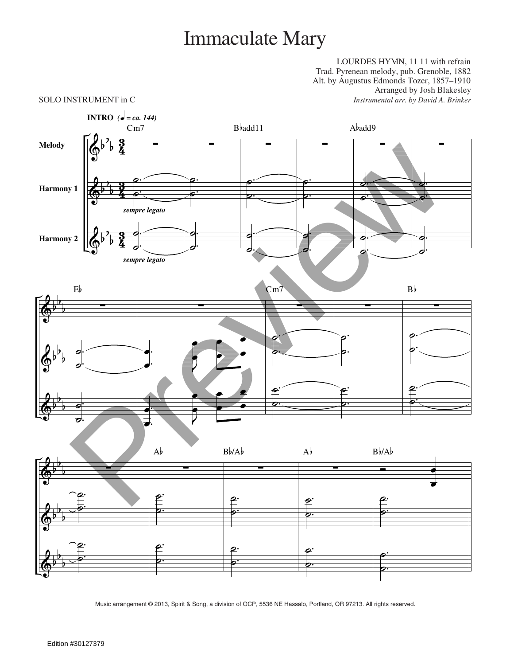# Immaculate Mary

LOURDES HYMN, 11 11 with refrain Trad. Pyrenean melody, pub. Grenoble, 1882 Alt. by Augustus Edmonds Tozer, 1857–1910 Arranged by Josh Blakesley SOLO INSTRUMENT in C *Instrumental arr. by David A. Brinker*



Music arrangement © 2013, Spirit & Song, a division of OCP, 5536 NE Hassalo, Portland, OR 97213. All rights reserved.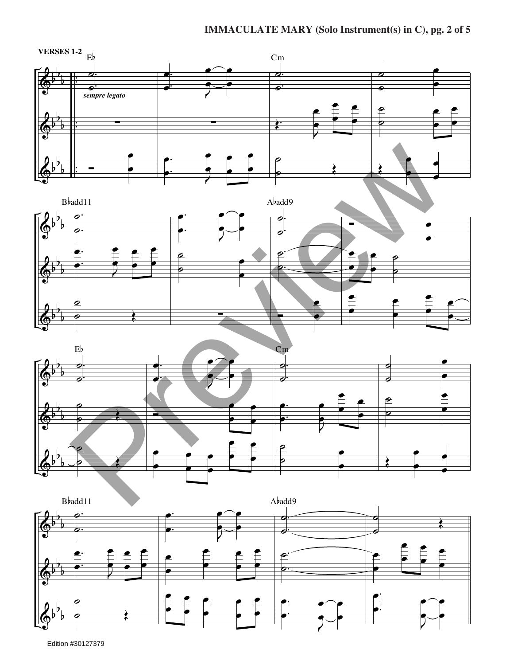### **IMMACULATE MARY (Solo Instrument(s) in C), pg. 2 of 5**









Edition #30127379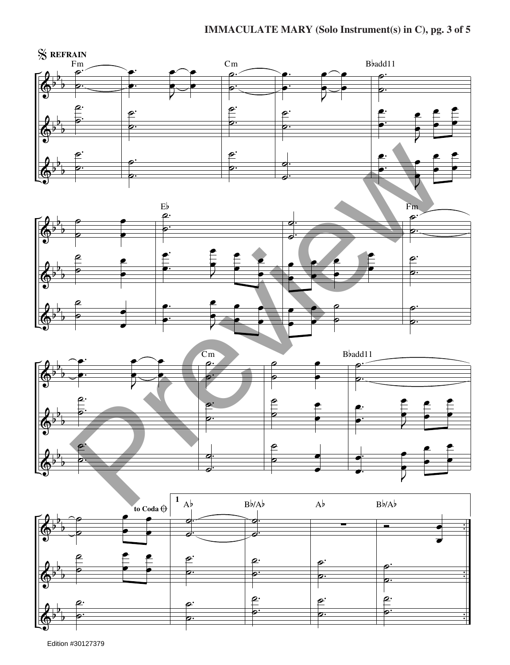### **IMMACULATE MARY (Solo Instrument(s) in C), pg. 3 of 5**



Edition #30127379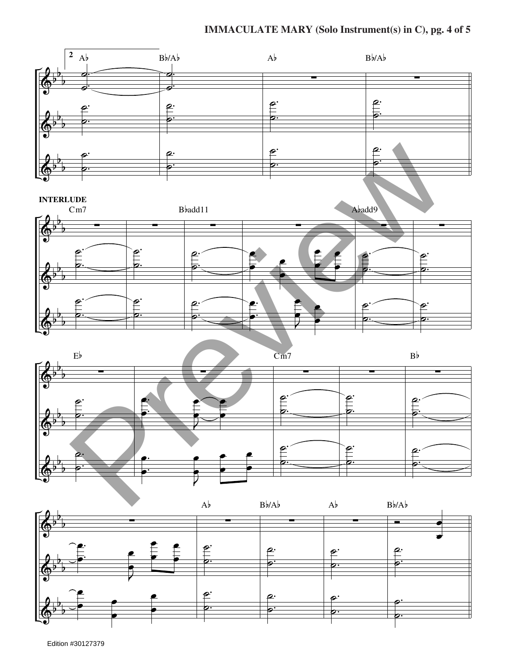